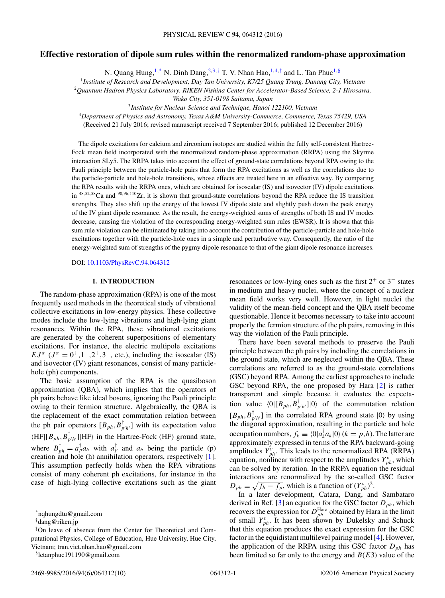# **Effective restoration of dipole sum rules within the renormalized random-phase approximation**

N. Quang Hung,<sup>1,\*</sup> N. Dinh Dang,<sup>2,3,†</sup> T. V. Nhan Hao,<sup>1,4,‡</sup> and L. Tan Phuc<sup>1,§</sup>

<sup>1</sup>*Institute of Research and Development, Duy Tan University, K7/25 Quang Trung, Danang City, Vietnam*

<sup>2</sup>*Quantum Hadron Physics Laboratory, RIKEN Nishina Center for Accelerator-Based Science, 2-1 Hirosawa,*

*Wako City, 351-0198 Saitama, Japan*

<sup>3</sup>*Institute for Nuclear Science and Technique, Hanoi 122100, Vietnam*

<sup>4</sup>*Department of Physics and Astronomy, Texas A&M University-Commerce, Commerce, Texas 75429, USA*

(Received 21 July 2016; revised manuscript received 7 September 2016; published 12 December 2016)

The dipole excitations for calcium and zirconium isotopes are studied within the fully self-consistent Hartree-Fock mean field incorporated with the renormalized random-phase approximation (RRPA) using the Skyrme interaction SLy5. The RRPA takes into account the effect of ground-state correlations beyond RPA owing to the Pauli principle between the particle-hole pairs that form the RPA excitations as well as the correlations due to the particle-particle and hole-hole transitions, whose effects are treated here in an effective way. By comparing the RPA results with the RRPA ones, which are obtained for isoscalar (IS) and isovector (IV) dipole excitations in <sup>48</sup>*,*52*,*58Ca and <sup>90</sup>*,*96*,*110Zr, it is shown that ground-state correlations beyond the RPA reduce the IS transition strengths. They also shift up the energy of the lowest IV dipole state and slightly push down the peak energy of the IV giant dipole resonance. As the result, the energy-weighted sums of strengths of both IS and IV modes decrease, causing the violation of the corresponding energy-weighted sum rules (EWSR). It is shown that this sum rule violation can be eliminated by taking into account the contribution of the particle-particle and hole-hole excitations together with the particle-hole ones in a simple and perturbative way. Consequently, the ratio of the energy-weighted sum of strengths of the pygmy dipole resonance to that of the giant dipole resonance increases.

DOI: [10.1103/PhysRevC.94.064312](https://doi.org/10.1103/PhysRevC.94.064312)

#### **I. INTRODUCTION**

The random-phase approximation (RPA) is one of the most frequently used methods in the theoretical study of vibrational collective excitations in low-energy physics. These collective modes include the low-lying vibrations and high-lying giant resonances. Within the RPA, these vibrational excitations are generated by the coherent superpositions of elementary excitations. For instance, the electric multipole excitations *E* $J^{\pi}$  ( $J^{\pi} = 0^{+}, 1^{-}, 2^{+}, 3^{-},$  etc.), including the isoscalar (IS) and isovector (IV) giant resonances, consist of many particlehole (ph) components.

The basic assumption of the RPA is the quasiboson approximation (QBA), which implies that the operators of ph pairs behave like ideal bosons, ignoring the Pauli principle owing to their fermion structure. Algebraically, the QBA is the replacement of the exact commutation relation between the ph pair operators  $[B_{ph}, B_{p'h'}^{\dagger}]$  with its expectation value  $\langle HF | [B_{ph}, B_{p'h'}^{\dagger} ] | HF \rangle$  in the Hartree-Fock (HF) ground state, where  $B_{ph}^{\dagger} = a_p^{\dagger} a_h$  with  $a_p^{\dagger}$  and  $a_h$  being the particle (p) creation and hole (h) annihilation operators, respectively [\[1\]](#page-8-0). This assumption perfectly holds when the RPA vibrations consist of many coherent ph excitations, for instance in the case of high-lying collective excitations such as the giant

§letanphuc191190@gmail.com

resonances or low-lying ones such as the first 2<sup>+</sup> or 3<sup>−</sup> states in medium and heavy nuclei, where the concept of a nuclear mean field works very well. However, in light nuclei the validity of the mean-field concept and the QBA itself become questionable. Hence it becomes necessary to take into account properly the fermion structure of the ph pairs, removing in this way the violation of the Pauli principle.

There have been several methods to preserve the Pauli principle between the ph pairs by including the correlations in the ground state, which are neglected within the QBA. These correlations are referred to as the ground-state correlations (GSC) beyond RPA. Among the earliest approaches to include GSC beyond RPA, the one proposed by Hara [\[2\]](#page-8-0) is rather transparent and simple because it evaluates the expectation value  $\langle 0 | [B_{ph}, B_{p'h'}^{\dagger} ] | 0 \rangle$  of the commutation relation  $[B_{ph}, B_{p'h'}^{\dagger}]$  in the correlated RPA ground state  $|0\rangle$  by using the diagonal approximation, resulting in the particle and hole occupation numbers,  $f_k \equiv \langle 0 | a_k^\dagger a_k | 0 \rangle$  ( $k = p, h$ ). The latter are approximately expressed in terms of the RPA backward-going amplitudes  $Y_{ph}^{\nu}$ . This leads to the renormalized RPA (RRPA) equation, nonlinear with respect to the amplitudes  $Y_{ph}^{\nu}$ , which can be solved by iteration. In the RRPA equation the residual interactions are renormalized by the so-called GSC factor  $D_{ph} \equiv \sqrt{f_h - f_p}$ , which is a function of  $(Y_{ph}^v)^2$ .

In a later development, Catara, Dang, and Sambataro derived in Ref.  $[3]$  an equation for the GSC factor  $D_{ph}$ , which recovers the expression for  $D_{ph}^{\text{Hara}}$  obtained by Hara in the limit of small  $Y_{ph}^{\nu}$ . It has been shown by Dukelsky and Schuck that this equation produces the exact expression for the GSC factor in the equidistant multilevel pairing model [\[4\]](#page-8-0). However, the application of the RRPA using this GSC factor *Dph* has been limited so far only to the energy and *B*(*E*3) value of the

<sup>\*</sup>nqhungdtu@gmail.com

<sup>†</sup> dang@riken.jp

<sup>‡</sup> On leave of absence from the Center for Theoretical and Computational Physics, College of Education, Hue University, Hue City, Vietnam; tran.viet.nhan.hao@gmail.com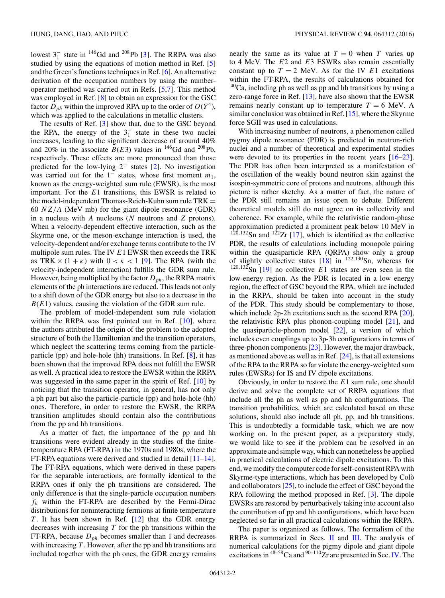lowest  $3_1^-$  state in <sup>146</sup>Gd and <sup>208</sup>Pb [\[3\]](#page-8-0). The RRPA was also studied by using the equations of motion method in Ref. [\[5\]](#page-8-0) and the Green's functions techniques in Ref. [\[6\]](#page-8-0). An alternative derivation of the occupation numbers by using the numberoperator method was carried out in Refs. [\[5,7\]](#page-8-0). This method was employed in Ref. [\[8\]](#page-8-0) to obtain an expression for the GSC factor  $D_{ph}$  within the improved RPA up to the order of  $O(Y^4)$ , which was applied to the calculations in metallic clusters.

The results of Ref. [\[3\]](#page-8-0) show that, due to the GSC beyond the RPA, the energy of the  $3<sub>1</sub><sup>-</sup>$  state in these two nuclei increases, leading to the significant decrease of around 40% and 20% in the associate  $\tilde{B}(E3)$  values in <sup>146</sup>Gd and <sup>208</sup>Pb, respectively. These effects are more pronounced than those predicted for the low-lying  $2^+$  states [\[2\]](#page-8-0). No investigation was carried out for the 1<sup>−</sup> states, whose first moment *m*1, known as the energy-weighted sum rule (EWSR), is the most important. For the *E*1 transitions, this EWSR is related to the model-independent Thomas-Reich-Kuhn sum rule  $TRK =$ 60 *NZ/A* (MeV mb) for the giant dipole resonance (GDR) in a nucleus with *A* nucleons (*N* neutrons and *Z* protons). When a velocity-dependent effective interaction, such as the Skyrme one, or the meson-exchange interaction is used, the velocity-dependent and/or exchange terms contribute to the IV multipole sum rules. The IV *E*1 EWSR then exceeds the TRK as TRK  $\times$  (1 +  $\kappa$ ) with  $0 < \kappa < 1$  [\[9\]](#page-8-0). The RPA (with the velocity-independent interaction) fulfills the GDR sum rule. However, being multiplied by the factor  $D_{ph}$ , the RRPA matrix elements of the ph interactions are reduced. This leads not only to a shift down of the GDR energy but also to a decrease in the *B*(*E*1) values, causing the violation of the GDR sum rule.

The problem of model-independent sum rule violation within the RRPA was first pointed out in Ref. [\[10\]](#page-8-0), where the authors attributed the origin of the problem to the adopted structure of both the Hamiltonian and the transition operators, which neglect the scattering terms coming from the particleparticle (pp) and hole-hole (hh) transitions. In Ref. [\[8\]](#page-8-0), it has been shown that the improved RPA does not fulfill the EWSR as well. A practical idea to restore the EWSR within the RRPA was suggested in the same paper in the spirit of Ref. [\[10\]](#page-8-0) by noticing that the transition operator, in general, has not only a ph part but also the particle-particle (pp) and hole-hole (hh) ones. Therefore, in order to restore the EWSR, the RRPA transition amplitudes should contain also the contributions from the pp and hh transitions.

As a matter of fact, the importance of the pp and hh transitions were evident already in the studies of the finitetemperature RPA (FT-RPA) in the 1970s and 1980s, where the FT-RPA equations were derived and studied in detail [\[11–14\]](#page-8-0). The FT-RPA equations, which were derived in these papers for the separable interactions, are formally identical to the RRPA ones if only the ph transitions are considered. The only difference is that the single-particle occupation numbers  $f_k$  within the FT-RPA are described by the Fermi-Dirac distributions for noninteracting fermions at finite temperature *T*. It has been shown in Ref. [\[12\]](#page-8-0) that the GDR energy decreases with increasing *T* for the ph transitions within the FT-RPA, because  $D_{ph}$  becomes smaller than 1 and decreases with increasing *T* . However, after the pp and hh transitions are included together with the ph ones, the GDR energy remains

nearly the same as its value at  $T = 0$  when *T* varies up to 4 MeV. The *E*2 and *E*3 ESWRs also remain essentially constant up to  $T = 2$  MeV. As for the IV  $E1$  excitations within the FT-RPA, the results of calculations obtained for  $40$ Ca, including ph as well as pp and hh transitions by using a zero-range force in Ref. [\[13\]](#page-8-0), have also shown that the EWSR remains nearly constant up to temperature  $T = 6$  MeV. A similar conclusion was obtained in Ref. [\[15\]](#page-8-0), where the Skyrme force SGII was used in calculations.

With increasing number of neutrons, a phenomenon called pygmy dipole resonance (PDR) is predicted in neutron-rich nuclei and a number of theoretical and experimental studies were devoted to its properties in the recent years  $[16–23]$  $[16–23]$ . The PDR has often been interpreted as a manifestation of the oscillation of the weakly bound neutron skin against the isospin-symmetric core of protons and neutrons, although this picture is rather sketchy. As a matter of fact, the nature of the PDR still remains an issue open to debate. Different theoretical models still do not agree on its collectivity and coherence. For example, while the relativistic random-phase approximation predicted a prominent peak below 10 MeV in  $120,132$ Sn and  $122$ Zr [\[17\]](#page-8-0), which is identified as the collective PDR, the results of calculations including monopole pairing within the quasiparticle RPA (QRPA) show only a group of slightly collective states  $[18]$  in <sup>122,130</sup>Sn, whereas for  $120,132$ Sn [\[19\]](#page-9-0) no collective *E*1 states are even seen in the low-energy region. As the PDR is located in a low energy region, the effect of GSC beyond the RPA, which are included in the RRPA, should be taken into account in the study of the PDR. This study should be complementary to those, which include 2p-2h excitations such as the second RPA [\[20\]](#page-9-0), the relativistic RPA plus phonon-coupling model [\[21\]](#page-9-0), and the quasiparticle-phonon model  $[22]$ , a version of which includes even couplings up to 3p-3h configurations in terms of three-phonon components [\[23\]](#page-9-0). However, the major drawback, as mentioned above as well as in Ref. [\[24\]](#page-9-0), is that all extensions of the RPA to the RRPA so far violate the energy-weighted sum rules (EWSRs) for IS and IV dipole excitations.

Obviously, in order to restore the *E*1 sum rule, one should derive and solve the complete set of RRPA equations that include all the ph as well as pp and hh configurations. The transition probabilities, which are calculated based on these solutions, should also include all ph, pp, and hh transitions. This is undoubtedly a formidable task, which we are now working on. In the present paper, as a preparatory study, we would like to see if the problem can be resolved in an approximate and simple way, which can nonetheless be applied in practical calculations of electric dipole excitations. To this end, we modify the computer code for self-consistent RPA with Skyrme-type interactions, which has been developed by Colò and collaborators [\[25\]](#page-9-0), to include the effect of GSC beyond the RPA following the method proposed in Ref. [\[3\]](#page-8-0). The dipole EWSRs are restored by perturbatively taking into account also the contribution of pp and hh configurations, which have been neglected so far in all practical calculations within the RRPA.

The paper is organized as follows. The formalism of the RRPA is summarized in Secs. [II](#page-2-0) and [III.](#page-5-0) The analysis of numerical calculations for the pigmy dipole and giant dipole excitations in  $48-58$ Ca and  $90-110$ Zr are presented in Sec. [IV.](#page-6-0) The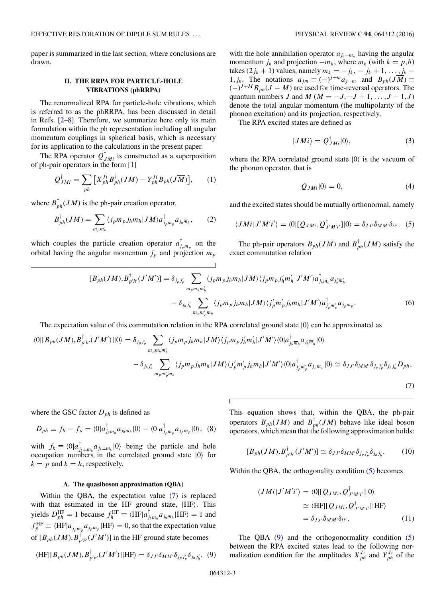<span id="page-2-0"></span>paper is summarized in the last section, where conclusions are drawn.

#### **II. THE RRPA FOR PARTICLE-HOLE VIBRATIONS (phRRPA)**

The renormalized RPA for particle-hole vibrations, which is referred to as the phRRPA, has been discussed in detail in Refs. [\[2–8\]](#page-8-0). Therefore, we summarize here only its main formulation within the ph representation including all angular momentum couplings in spherical basis, which is necessary for its application to the calculations in the present paper.

The RPA operator  $Q_{JMi}^{\dagger}$  is constructed as a superposition of ph-pair operators in the form [\[1\]](#page-8-0)

$$
Q_{JMi}^{\dagger} = \sum_{ph} \left[ X_{ph}^{Ji} B_{ph}^{\dagger} (JM) - Y_{ph}^{Ji} B_{ph} (J\overline{M}) \right], \qquad (1)
$$

where  $B_{ph}^{\dagger}(JM)$  is the ph-pair creation operator,

$$
B_{ph}^{\dagger}(JM) = \sum_{m_p m_h} \langle j_p m_p j_h m_h | J M \rangle a_{j_p m_p}^{\dagger} a_{j_h \overline{m}_h}, \qquad (2)
$$

which couples the particle creation operator  $a_{j_p m_p}^{\dagger}$  on the orbital having the angular momentum  $j_p$  and projection  $m_p$ 

with the hole annihilation operator  $a_{j_h-m_h}$  having the angular momentum  $j_h$  and projection  $-m_h$ , where  $m_k$  (with  $k = p,h$ )  $\text{takes } (2j_k + 1) \text{ values, namely } m_k = -j_k, -j_k + 1, \ldots, j_k = -j_k.$ 1*, j<sub>k</sub>*. The notations  $a_{j\overline{m}} \equiv (-)^{j+m} a_{j-m}$  and  $B_{ph}(J\overline{M}) \equiv$  $(-)^{J+M} B_{ph}(J-M)$  are used for time-reversal operators. The quantum numbers *J* and *M* ( $M = -J, -J + 1, \ldots, J - 1, J$ ) denote the total angular momentum (the multipolarity of the phonon excitation) and its projection, respectively.

The RPA excited states are defined as

$$
|JMi\rangle = Q_{JMi}^{\dagger}|0\rangle, \tag{3}
$$

where the RPA correlated ground state  $|0\rangle$  is the vacuum of the phonon operator, that is

$$
Q_{JMi}|0\rangle = 0,\t\t(4)
$$

and the excited states should be mutually orthonormal, namely

$$
\langle JMi|J'M'i'\rangle = \langle 0|[Q_{JMi},Q^{\dagger}_{J'M'i'}]|0\rangle = \delta_{JJ'}\delta_{MM'}\delta_{ii'}.
$$
 (5)

The ph-pair operators  $B_{ph}(JM)$  and  $B_{ph}^{\dagger}(JM)$  satisfy the exact commutation relation

$$
[B_{ph}(JM), B_{p'h'}^{\dagger}(J'M')] = \delta_{j_p j'_p} \sum_{m_p m_h m'_h} \langle j_p m_p j_h m_h | JM \rangle \langle j_p m_p j'_h m'_h | J'M' \rangle a_{j_h \overline{m}_h}^{\dagger} a_{j'_h \overline{m}_h} a_{j'_h \overline{m}_h} - \delta_{j_h j'_h} \sum_{m_p m'_p m_h} \langle j_p m_p j_h m_h | JM \rangle \langle j'_p m'_p j_h m_h | J'M' \rangle a_{j'_p m'_p}^{\dagger} a_{j_p m_p}.
$$
\n
$$
(6)
$$

The expectation value of this commutation relation in the RPA correlated ground state  $|0\rangle$  can be approximated as

$$
\langle 0|[B_{ph}(JM),B^{\dagger}_{p'h'}(J'M')]|0\rangle = \delta_{jp\,j'_p} \sum_{m_p m_h m'_h} \langle j_p m_p j_h m_h | JM \rangle \langle j_p m_p j'_h m'_h | J'M' \rangle \langle 0| a^{\dagger}_{j_h \overline{m}_h} a_{j'_h \overline{m}'_h} |0\rangle
$$

$$
- \delta_{j_h j'_h} \sum_{m_p m'_p m_h} \langle j_p m_p j_h m_h | JM \rangle \langle j'_p m'_p j_h m_h | J'M' \rangle \langle 0| a^{\dagger}_{j'_p m'_p} a_{j_p m_p} |0\rangle \simeq \delta_{JJ} \delta_{MM} \delta_{jp\,j'_p} \delta_{j_h j'_h} D_{ph},
$$

$$
(7)
$$

where the GSC factor  $D_{ph}$  is defined as

$$
D_{ph} \equiv f_h - f_p = \langle 0 | a_{j_h m_h}^{\dagger} a_{j_h m_h} | 0 \rangle - \langle 0 | a_{j_p m_p}^{\dagger} a_{j_p m_p} | 0 \rangle, \tag{8}
$$

with  $f_k \equiv \langle 0 | a_{j_k \pm m_k}^{\dagger} a_{j_k \pm m_k} | 0 \rangle$  being the particle and hole occupation numbers in the correlated ground state  $|0\rangle$  for  $k = p$  and  $k = h$ , respectively.

#### **A. The quasiboson approximation (QBA)**

Within the QBA, the expectation value (7) is replaced with that estimated in the HF ground state,  $|HF\rangle$ . This yields  $D_{ph}^{\text{HF}} = 1$  because  $f_h^{\text{HF}} \equiv \langle \text{HF} | a_{j_h m_h}^{\dagger} a_{j_h m_h} | \text{HF} \rangle = 1$  and  $f_p^{\text{HF}} \equiv \langle \text{HF} | a_{j_p m_p}^{\dagger} a_{j_p m_p} | \text{HF} \rangle = 0$ , so that the expectation value of  $[B_{ph}(JM), B^{\dagger}_{p'h'}(J'M')]$  in the HF ground state becomes

$$
\langle \text{HF} | [B_{ph}(JM), B_{p'h'}^{\dagger}(J'M')] | \text{HF} \rangle = \delta_{JJ'} \delta_{MM'} \delta_{j_p j'_p} \delta_{j_h j'_h}.
$$
 (9)

This equation shows that, within the QBA, the ph-pair operators  $B_{ph}(JM)$  and  $B_{ph}^{\dagger}(JM)$  behave like ideal boson operators, which mean that the following approximation holds:

$$
[B_{ph}(JM), B^{\dagger}_{p'h'}(J'M')] \simeq \delta_{JJ'}\delta_{MM'}\delta_{j_p j'_p}\delta_{j_h j'_h}.
$$
 (10)

Within the QBA, the orthogonality condition (5) becomes

$$
\langle JMi|J'M'i'\rangle = \langle 0|[Q_{JMi}, Q^{\dagger}_{J'M'i'}]|0\rangle
$$
  
\n
$$
\simeq \langle HF|[Q_{JMi}, Q^{\dagger}_{J'M'i'}]|HF\rangle
$$
  
\n
$$
= \delta_{JJ'}\delta_{MM'}\delta_{ii'}.
$$
\n(11)

The QBA  $(9)$  and the orthogonormality condition  $(5)$ between the RPA excited states lead to the following normalization condition for the amplitudes  $X_{ph}^{J_i}$  and  $Y_{ph}^{J_i}$  of the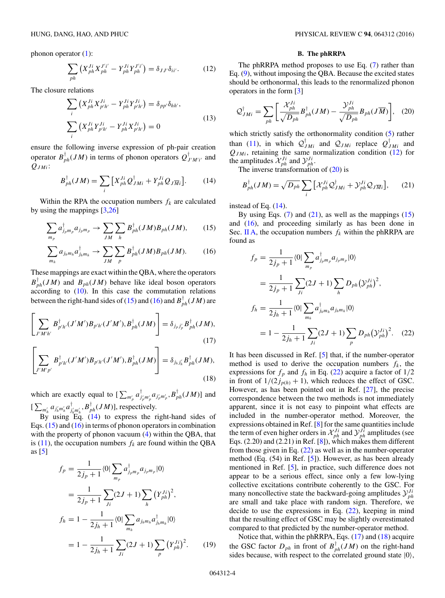<span id="page-3-0"></span>phonon operator [\(1\)](#page-2-0):

$$
\sum_{ph} \left( X_{ph}^{Ji} X_{ph}^{J'i'} - Y_{ph}^{Ji} Y_{ph}^{J'i'} \right) = \delta_{JJ'} \delta_{ii'}.
$$
 (12)

The closure relations

$$
\sum_{i} \left( X_{ph}^{Ji} X_{p'h'}^{Ji} - Y_{ph}^{Ji} Y_{p'h'}^{Ji} \right) = \delta_{pp'} \delta_{hh'},
$$
\n
$$
\sum_{i} \left( X_{ph}^{Ji} Y_{p'h'}^{Ji} - Y_{ph}^{Ji} X_{p'h'}^{Ji} \right) = 0
$$
\n(13)

ensure the following inverse expression of ph-pair creation operator  $B_{ph}^{\dagger}(JM)$  in terms of phonon operators  $Q_{J^{\prime}M^{\prime}i^{\prime}}^{\dagger}$  and *QJMi*:

$$
B_{ph}^{\dagger}(JM) = \sum_{i} \left[ X_{ph}^{Ji} \mathcal{Q}_{JMi}^{\dagger} + Y_{ph}^{Ji} \mathcal{Q}_{J\overline{M}i} \right]. \tag{14}
$$

Within the RPA the occupation numbers  $f_k$  are calculated by using the mappings [\[3,](#page-8-0)[26\]](#page-9-0)

$$
\sum_{m_p} a_{j_p m_p}^{\dagger} a_{j_p m_p} \rightarrow \sum_{JM} \sum_{h} B_{ph}^{\dagger} (JM) B_{ph} (JM), \qquad (15)
$$

$$
\sum_{m_h} a_{j_h m_h} a_{j_h m_h}^{\dagger} \rightarrow \sum_{JM} \sum_{p} B_{ph}^{\dagger} (JM) B_{ph} (JM). \tag{16}
$$

These mappings are exact within the QBA, where the operators  $B_{ph}^{\dagger}(JM)$  and  $B_{ph}(JM)$  behave like ideal boson operators according to  $(10)$ . In this case the commutation relations between the right-hand sides of (15) and (16) and  $B_{ph}^{\dagger}(JM)$  are

$$
\left[\sum_{J'M'h'} B^{\dagger}_{p'h'}(J'M')B_{p'h'}(J'M'), B^{\dagger}_{ph}(JM)\right] = \delta_{j_p j'_p} B^{\dagger}_{ph}(JM),
$$
\n(17)

$$
\left[\sum_{J'M'p'} B^{\dagger}_{p'h'}(J'M')B_{p'h'}(J'M'), B^{\dagger}_{ph}(JM)\right] = \delta_{j_h j'_h} B^{\dagger}_{ph}(JM),
$$
\n(18)

which are exactly equal to  $\left[\sum_{m'_p} a_{j'_p m'_p}^{\dagger} a_{j'_p m'_p}, B_{ph}^{\dagger}(JM)\right]$  and  $\left[ \sum_{m'_h} a_{j'_h m'_h} a_{j'_h m'_h}^{\dagger}, B_{ph}^{\dagger} (JM) \right],$  respectively.

By using  $E\ddot{q}$ . (14) to express the right-hand sides of Eqs.  $(15)$  and  $(16)$  in terms of phonon operators in combination with the property of phonon vacuum  $(4)$  within the QBA, that is [\(11\)](#page-2-0), the occupation numbers  $f_k$  are found within the QBA as  $\lceil 5 \rceil$ 

$$
f_p = \frac{1}{2j_p + 1} \langle 0 | \sum_{m_p} a_{j_p m_p}^{\dagger} a_{j_p m_p} | 0 \rangle
$$
  
\n
$$
= \frac{1}{2j_p + 1} \sum_{j_i} (2J + 1) \sum_{h} (Y_{ph}^{J_i})^2,
$$
  
\n
$$
f_h = 1 - \frac{1}{2j_h + 1} \langle 0 | \sum_{m_h} a_{j_h m_h} a_{j_h m_h}^{\dagger} | 0 \rangle
$$
  
\n
$$
= 1 - \frac{1}{2j_h + 1} \sum_{j_i} (2J + 1) \sum_{p} (Y_{ph}^{J_i})^2.
$$
 (19)

# **B. The phRRPA**

The phRRPA method proposes to use Eq. [\(7\)](#page-2-0) rather than Eq. [\(9\)](#page-2-0), without imposing the QBA. Because the excited states should be orthonormal, this leads to the renormalized phonon operators in the form [\[3\]](#page-8-0)

$$
\mathcal{Q}_{JMi}^{\dagger} = \sum_{ph} \left[ \frac{\mathcal{X}_{ph}^{Ji}}{\sqrt{D_{ph}}} B_{ph}^{\dagger}(JM) - \frac{\mathcal{Y}_{ph}^{Ji}}{\sqrt{D_{ph}}} B_{ph}(J\overline{M}) \right], \quad (20)
$$

which strictly satisfy the orthonormality condition  $(5)$  rather than [\(11\)](#page-2-0), in which  $Q_{JMi}^{\dagger}$  and  $Q_{JMi}$  replace  $Q_{JMi}^{\dagger}$  and  $Q_{JMi}$ , retaining the same normalization condition  $(12)$  for the amplitudes  $\mathcal{X}_{ph}^{Ji}$  and  $\mathcal{Y}_{ph}^{Ji}$ .

The inverse transformation of  $(20)$  is

$$
B_{ph}^{\dagger}(JM) = \sqrt{D_{ph}} \sum_{i} \left[ \mathcal{X}_{ph}^{Ji} \mathcal{Q}_{JMi}^{\dagger} + \mathcal{Y}_{ph}^{Ji} \mathcal{Q}_{J\overline{M}i} \right], \qquad (21)
$$

instead of Eq. (14).

By using Eqs.  $(7)$  and  $(21)$ , as well as the mappings  $(15)$ and (16), and proceeding similarly as has been done in Sec. [II A,](#page-2-0) the occupation numbers  $f_k$  within the phRRPA are found as

$$
f_p = \frac{1}{2j_p + 1} \langle 0 | \sum_{m_p} a_{j_p m_p}^{\dagger} a_{j_p m_p} | 0 \rangle
$$
  
\n
$$
= \frac{1}{2j_p + 1} \sum_{j_i} (2J + 1) \sum_{h} D_{ph} (\mathcal{Y}_{ph}^{j_i})^2,
$$
  
\n
$$
f_h = \frac{1}{2j_h + 1} \langle 0 | \sum_{m_h} a_{j_h m_h}^{\dagger} a_{j_h m_h} | 0 \rangle
$$
  
\n
$$
= 1 - \frac{1}{2j_h + 1} \sum_{j_i} (2J + 1) \sum_{p} D_{ph} (\mathcal{Y}_{ph}^{j_i})^2.
$$
 (22)

It has been discussed in Ref. [\[5\]](#page-8-0) that, if the number-operator method is used to derive the occupation numbers  $f_k$ , the expressions for  $f_p$  and  $f_h$  in Eq. (22) acquire a factor of  $1/2$ in front of  $1/(2j_{p(h)} + 1)$ , which reduces the effect of GSC. However, as has been pointed out in Ref. [\[27\]](#page-9-0), the precise correspondence between the two methods is not immediately apparent, since it is not easy to pinpoint what effects are included in the number-operator method. Moreover, the expressions obtained in Ref. [\[8\]](#page-8-0) for the same quantities include the term of even higher orders in  $\mathcal{X}_{ph}^{Ji}$  and  $\mathcal{Y}_{ph}^{Ji}$  amplitudes (see Eqs. (2.20) and (2.21) in Ref. [\[8\]](#page-8-0)), which makes them different from those given in Eq.  $(22)$  as well as in the number-operator method (Eq. (54) in Ref. [\[5\]](#page-8-0)). However, as has been already mentioned in Ref. [\[5\]](#page-8-0), in practice, such difference does not appear to be a serious effect, since only a few low-lying collective excitations contribute coherently to the GSC. For many noncollective state the backward-going amplitudes  $\mathcal{Y}_{ph}^{Ji}$ are small and take place with random sign. Therefore, we decide to use the expressions in Eq.  $(22)$ , keeping in mind that the resulting effect of GSC may be slightly overestimated compared to that predicted by the number-operator method.

Notice that, within the phRRPA, Eqs. (17) and (18) acquire the GSC factor  $D_{ph}$  in front of  $B_{ph}^{\dagger}(JM)$  on the right-hand sides because, with respect to the correlated ground state  $|0\rangle$ ,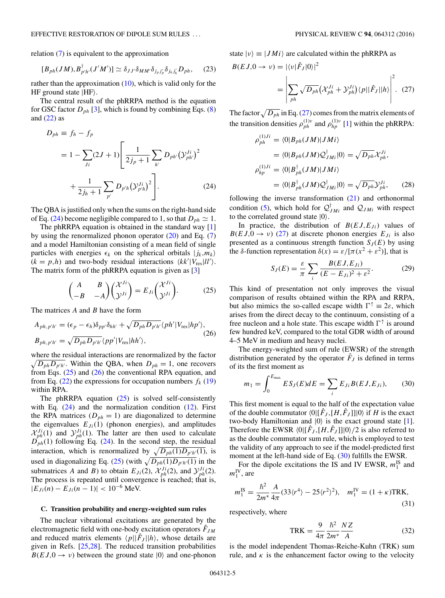<span id="page-4-0"></span>relation [\(7\)](#page-2-0) is equivalent to the approximation

$$
[B_{ph}(JM), B_{p'h'}^{\dagger}(J'M')] \simeq \delta_{JJ'} \delta_{MM'} \delta_{j_p j'_p} \delta_{j_h j'_h} D_{ph}, \quad (23)
$$

rather than the approximation  $(10)$ , which is valid only for the HF ground state  $|HF\rangle$ .

The central result of the phRRPA method is the equation for GSC factor  $D_{ph}$  [\[3\]](#page-8-0), which is found by combining Eqs. [\(8\)](#page-2-0) and  $(22)$  as

$$
D_{ph} \equiv f_h - f_p
$$
  
=  $1 - \sum_{Ji} (2J + 1) \left[ \frac{1}{2j_p + 1} \sum_{h'} D_{ph'} (\mathcal{Y}_{ph'}^{Ji})^2 + \frac{1}{2j_h + 1} \sum_{p'} D_{p'h} (\mathcal{Y}_{p'h}^{Ji})^2 \right].$  (24)

The QBA is justified only when the sums on the right-hand side of Eq. (24) become negligible compared to 1, so that  $D_{ph} \simeq 1$ .

The phRRPA equation is obtained in the standard way [\[1\]](#page-8-0) by using the renormalized phonon operator  $(20)$  and Eq.  $(7)$ and a model Hamiltonian consisting of a mean field of single particles with energies  $\epsilon_k$  on the spherical orbitals  $|j_k, m_k\rangle$  $(k = p, h)$  and two-body residual interactions  $\langle kk'|V_{\text{res}}|ll'\rangle$ . The matrix form of the phRRPA equation is given as [\[3\]](#page-8-0)

$$
\begin{pmatrix} A & B \\ -B & -A \end{pmatrix} \begin{pmatrix} \mathcal{X}^{Ji} \\ \mathcal{Y}^{Ji} \end{pmatrix} = E_{Ji} \begin{pmatrix} \mathcal{X}^{Ji} \\ \mathcal{Y}^{Ji} \end{pmatrix}.
$$
 (25)

The matrices *A* and *B* have the form

$$
A_{ph,p'h'} = (\epsilon_p - \epsilon_h) \delta_{pp'} \delta_{hh'} + \sqrt{D_{ph} D_{p'h'}} \langle ph' | V_{\text{res}} | hp' \rangle,
$$
  
\n
$$
B_{ph,p'h'} = \sqrt{D_{ph} D_{p'h'}} \langle pp' | V_{\text{res}} | hh' \rangle,
$$
\n(26)

where the residual interactions are renormalized by the factor  $\sqrt{D_{ph}D_{p'h'}}$ . Within the QBA, when  $D_{ph} = 1$ , one recovers from Eqs. (25) and (26) the conventional RPA equation, and from Eq.  $(22)$  the expressions for occupation numbers  $f_k(19)$  $f_k(19)$ within RPA.

The phRRPA equation  $(25)$  is solved self-consistently with Eq. (24) and the normalization condition [\(12\)](#page-3-0). First the RPA matrices  $(D_{ph} = 1)$  are diagonalized to determine the eigenvalues  $E_{J_i}(1)$  (phonon energies), and amplitudes  $\mathcal{X}_{ph}^{Ji}(1)$  and  $\mathcal{Y}_{ph}^{Ji}(1)$ . The latter are then used to calculate  $D_{ph}(1)$  following Eq. (24). In the second step, the residual interaction, which is renormalized by  $\sqrt{D_{ph}(1)D_{p/h}(1)}$ , is used in diagonalizing Eq. (25) (with  $\sqrt{D_{ph}(1)D_{p'h'}(1)}$  in the submatrices *A* and *B*) to obtain  $E_{J_i}(2)$ ,  $\mathcal{X}_{ph}^{J_i}(2)$ , and  $\mathcal{Y}_{ph}^{J_i}(2)$ . The process is repeated until convergence is reached; that is,  $|E_{J_i}(n) - E_{J_i}(n-1)| < 10^{-6}$  MeV.

#### **C. Transition probability and energy-weighted sum rules**

The nuclear vibrational excitations are generated by the electromagnetic field with one-body excitation operators  $\hat{F}_{JM}$ and reduced matrix elements  $\langle p||\hat{F}_J||h\rangle$ , whose details are given in Refs. [\[25,28\]](#page-9-0). The reduced transition probabilities  $B(EJ,0 \rightarrow \nu)$  between the ground state  $|0\rangle$  and one-phonon

state  $|v\rangle \equiv |JM_i\rangle$  are calculated within the phRRPA as

$$
B(EJ,0 \to \nu) = |\langle \nu | \hat{F}_J | 0 \rangle|^2
$$
  
= 
$$
\left| \sum_{ph} \sqrt{D_{ph}} (\mathcal{X}_{ph}^{Ji} + \mathcal{Y}_{ph}^{Ji}) \langle p | |\hat{F}_J | h \rangle \right|^2.
$$
 (27)

The factor  $\sqrt{D_{ph}}$  in Eq. (27) comes from the matrix elements of the transition densities  $\rho_{ph}^{(1)\nu}$  and  $\rho_{hp}^{(1)\nu}$  [\[1\]](#page-8-0) within the phRRPA:

$$
\rho_{ph}^{(1)Ji} = \langle 0|B_{ph}(JM)|JMi\rangle
$$
  
\n
$$
= \langle 0|B_{ph}(JM)Q_{JMi}^{\dagger}|0\rangle = \sqrt{D_{ph}}\mathcal{X}_{ph}^{Ji},
$$
  
\n
$$
\rho_{hp}^{(1)Ji} = \langle 0|B_{ph}^{\dagger}(JM)|JMi\rangle
$$
  
\n
$$
= \langle 0|B_{ph}^{\dagger}(JM)Q_{JMi}^{\dagger}|0\rangle = \sqrt{D_{ph}}\mathcal{Y}_{ph}^{Ji}, \qquad (28)
$$

following the inverse transformation  $(21)$  and orthonormal condition [\(5\)](#page-2-0), which hold for  $Q_{JMi}^{\dagger}$  and  $Q_{JMi}$  with respect to the correlated ground state  $|0\rangle$ .

In practice, the distribution of  $B(EJ, E_{J_i})$  values of  $B(EJ,0 \rightarrow \nu)$  (27) at discrete phonon energies  $E_{J_i}$  is also presented as a continuous strength function  $S_J(E)$  by using the *δ*-function representation  $\delta(x) = \varepsilon / [\pi (x^2 + \varepsilon^2)]$ , that is

$$
S_J(E) = \frac{\varepsilon}{\pi} \sum_{i} \frac{B(EJ, E_{Ji})}{(E - E_{Ji})^2 + \varepsilon^2}.
$$
 (29)

This kind of presentation not only improves the visual comparison of results obtained within the RPA and RRPA, but also mimics the so-called escape width  $\Gamma^{\uparrow} \equiv 2\varepsilon$ , which arises from the direct decay to the continuum, consisting of a free nucleon and a hole state. This escape width  $\Gamma^{\uparrow}$  is around few hundred keV, compared to the total GDR width of around 4–5 MeV in medium and heavy nuclei.

The energy-weighted sum of rule (EWSR) of the strength distribution generated by the operator  $\hat{F}_J$  is defined in terms of its the first moment as

$$
m_1 = \int_0^{E_{\text{max}}} E S_J(E) dE = \sum_i E_{Ji} B(EJ, E_{Ji}), \qquad (30)
$$

This first moment is equal to the half of the expectation value of the double commutator  $\langle 0|[\hat{F}_J,[H,\hat{F}_J]]|0\rangle$  if *H* is the exact two-body Hamiltonian and  $|0\rangle$  is the exact ground state [\[1\]](#page-8-0). Therefore the EWSR  $\langle 0 | [\hat{F}_J, [H, \hat{F}_J]] | 0 \rangle / 2$  is also referred to as the double commutator sum rule, which is employed to test the validity of any approach to see if the model-predicted first moment at the left-hand side of Eq. (30) fulfills the EWSR.

For the dipole excitations the IS and IV EWSR,  $m_1^{\text{IS}}$  and  $m_1^{\text{IV}}$ , are

$$
m_1^{\text{IS}} = \frac{\hbar^2}{2m^*} \frac{A}{4\pi} (33 \langle r^4 \rangle - 25 \langle r^2 \rangle^2), \quad m_1^{\text{IV}} = (1 + \kappa) \text{TRK}, \tag{31}
$$

respectively, where

$$
TRK = \frac{9}{4\pi} \frac{\hbar^2}{2m^*} \frac{NZ}{A}
$$
 (32)

is the model independent Thomas-Reiche-Kuhn (TRK) sum rule, and  $\kappa$  is the enhancement factor owing to the velocity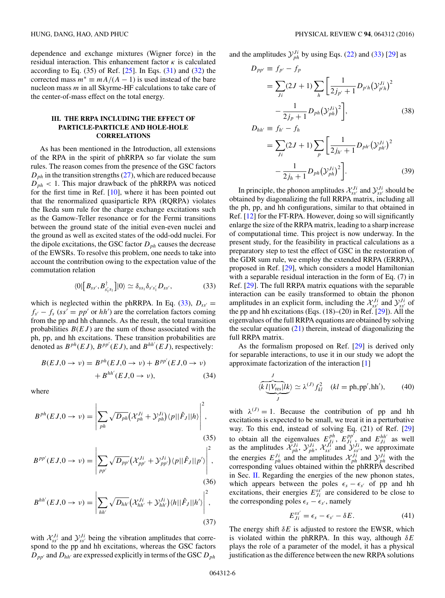<span id="page-5-0"></span>dependence and exchange mixtures (Wigner force) in the residual interaction. This enhancement factor *κ* is calculated according to Eq.  $(35)$  of Ref.  $[25]$ . In Eqs.  $(31)$  and  $(32)$  the corrected mass  $m^* \equiv mA/(A - 1)$  is used instead of the bare nucleon mass *m* in all Skyrme-HF calculations to take care of the center-of-mass effect on the total energy.

# **III. THE RRPA INCLUDING THE EFFECT OF PARTICLE-PARTICLE AND HOLE-HOLE CORRELATIONS**

As has been mentioned in the Introduction, all extensions of the RPA in the spirit of phRRPA so far violate the sum rules. The reason comes from the presence of the GSC factors  $D_{ph}$  in the transition strengths  $(27)$ , which are reduced because  $D_{ph}$  < 1. This major drawback of the phRRPA was noticed for the first time in Ref.  $[10]$ , where it has been pointed out that the renormalized quasiparticle RPA (RQRPA) violates the Ikeda sum rule for the charge exchange excitations such as the Gamow-Teller resonance or for the Fermi transitions between the ground state of the initial even-even nuclei and the ground as well as excited states of the odd-odd nuclei. For the dipole excitations, the GSC factor  $D_{ph}$  causes the decrease of the EWSRs. To resolve this problem, one needs to take into account the contribution owing to the expectation value of the commutation relation

$$
\langle 0|\left[B_{ss'},B_{s'_1s_1}^{\dagger}\right]|0\rangle\simeq\delta_{ss_1}\delta_{s's'_1}D_{ss'},\tag{33}
$$

which is neglected within the phRRPA. In Eq. (33),  $D_{ss'} =$  $f_{s'} - f_s$  (*ss'* = *pp'* or *hh'*) are the correlation factors coming from the pp and hh channels. As the result, the total transition probabilities  $B(EJ)$  are the sum of those associated with the ph, pp, and hh excitations. These transition probabilities are denoted as  $B^{ph}(EJ)$ ,  $B^{pp'}(EJ)$ , and  $B^{hh'}(E\dot{J})$ , respectively:

$$
B(EJ,0 \to \nu) = Bph(EJ,0 \to \nu) + Bpp'(EJ,0 \to \nu)
$$
  
+ 
$$
Bhh'(EJ,0 \to \nu),
$$
 (34)

where

$$
B^{ph}(E J, 0 \to \nu) = \left| \sum_{ph} \sqrt{D_{ph}} (\mathcal{X}_{ph}^{Ji} + \mathcal{Y}_{ph}^{Ji}) \langle p || \hat{F}_J || h \rangle \right|^2,
$$
\n(35)

$$
B^{pp'}(EJ,0 \to \nu) = \left| \sum_{pp'} \sqrt{D_{pp'}} \left( \mathcal{X}_{pp'}^{Ji} + \mathcal{Y}_{pp'}^{Ji} \right) \langle p || \hat{F}_J || p' \rangle \right|^2,
$$
\n(36)

$$
B^{hh'}(EJ,0\to\nu)=\left|\sum_{hh'}\sqrt{D_{hh'}}\left(\mathcal{X}_{hh'}^{Ji}+\mathcal{Y}_{hh'}^{Ji}\right)\langle h||\hat{F}_J||h'\rangle\right|^2,
$$
\n(37)

with  $\mathcal{X}_{ss'}^{Ji}$  and  $\mathcal{Y}_{ss'}^{Ji}$  being the vibration amplitudes that correspond to the pp and hh excitations, whereas the GSC factors  $\overrightarrow{D}_{pp'}$  and  $\overrightarrow{D}_{hh'}$  are expressed explicitly in terms of the GSC  $D_{ph}$ 

and the amplitudes  $\mathcal{Y}_{ph}^{J_i}$  by using Eqs. [\(22\)](#page-3-0) and (33) [\[29\]](#page-9-0) as

$$
D_{pp'} \equiv f_{p'} - f_p
$$
  
\n
$$
= \sum_{Ji} (2J+1) \sum_{h} \left[ \frac{1}{2j_{p'}+1} D_{p'h} (\mathcal{Y}_{p'h}^{Ji})^2 - \frac{1}{2j_p+1} D_{ph} (\mathcal{Y}_{ph}^{Ji})^2 \right],
$$
\n(38)  
\n
$$
D_{hh'} \equiv f_{h'} - f_h
$$
  
\n
$$
= \sum_{Ji} (2J+1) \sum_{p} \left[ \frac{1}{2j_{h'}+1} D_{ph} (\mathcal{Y}_{ph'}^{Ji})^2 - \frac{1}{2j_h+1} D_{ph} (\mathcal{Y}_{ph'}^{Ji})^2 \right].
$$

In principle, the phonon amplitudes  $\mathcal{X}_{ss'}^{Ji}$  and  $\mathcal{Y}_{ss'}^{Ji}$  should be obtained by diagonalizing the full RRPA matrix, including all the ph, pp, and hh configurations, similar to that obtained in Ref. [\[12\]](#page-8-0) for the FT-RPA. However, doing so will significantly enlarge the size of the RRPA matrix, leading to a sharp increase of computational time. This project is now underway. In the present study, for the feasibility in practical calculations as a preparatory step to test the effect of GSC in the restoration of the GDR sum rule, we employ the extended RRPA (ERRPA), proposed in Ref. [\[29\]](#page-9-0), which considers a model Hamiltonian with a separable residual interaction in the form of Eq. (7) in Ref. [\[29\]](#page-9-0). The full RRPA matrix equations with the separable interaction can be easily transformed to obtain the phonon amplitudes in an explicit form, including the  $\mathcal{X}_{ss'}^{Ji}$  and  $\mathcal{Y}_{ss'}^{Ji}$  of the pp and hh excitations (Eqs.  $(18)$ – $(20)$  in Ref.  $[29]$ ). All the eigenvalues of the full RRPA equations are obtained by solving the secular equation  $(21)$  therein, instead of diagonalizing the full RRPA matrix.

As the formalism proposed on Ref. [\[29\]](#page-9-0) is derived only for separable interactions, to use it in our study we adopt the approximate factorization of the interaction [\[1\]](#page-8-0)

$$
\langle k \underbrace{l|V_{\text{res}}|lk}_{J} \rangle \simeq \lambda^{(J)} f_{kl}^2 \quad (kl = \text{ph,pp',hh'), \tag{40}
$$

with  $\lambda^{(J)} = 1$ . Because the contribution of pp and hh excitations is expected to be small, we treat it in a perturbative way. To this end, instead of solving Eq. (21) of Ref. [\[29\]](#page-9-0) to obtain all the eigenvalues  $E_{J_i}^{ph}$ ,  $E_{J_i}^{pp^f}$ , and  $E_{J_i}^{hh'}$  as well as the amplitudes  $\mathcal{X}_{ph}^{J_i}$ ,  $\mathcal{Y}_{ph}^{J_i}$ ,  $\mathcal{X}_{ss'}^{J_i}$  and  $\mathcal{Y}_{ss'}^{J_i}$ , we approximate the energies  $E_{ph}^{Ji}$  and the amplitudes  $\mathcal{X}_{ph}^{Ji}$  and  $\mathcal{Y}_{ph}^{Ji}$  with the corresponding values obtained within the phRRPA described in Sec. [II.](#page-2-0) Regarding the energies of the new phonon states, which appears between the poles  $\epsilon_s - \epsilon_{s'}$  of pp and hh excitations, their energies  $E_{j_i}^{ss'}$  are considered to be close to the corresponding poles  $\epsilon_s - \epsilon_{s'}$ , namely

$$
E_{Ji}^{ss'} = \epsilon_s - \epsilon_{s'} - \delta E. \tag{41}
$$

The energy shift *δE* is adjusted to restore the EWSR, which is violated within the phRRPA. In this way, although *δE* plays the role of a parameter of the model, it has a physical justification as the difference between the new RRPA solutions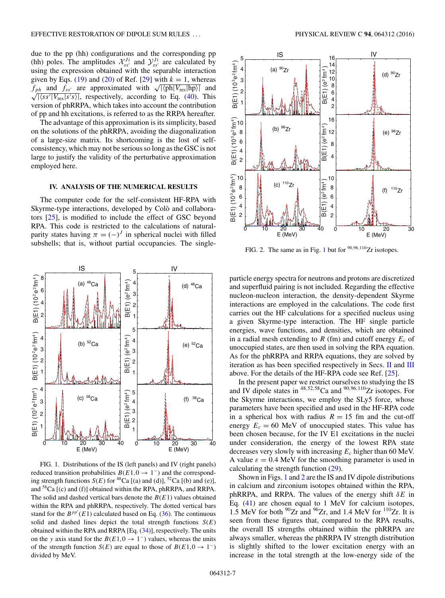<span id="page-6-0"></span>due to the pp (hh) configurations and the corresponding pp (hh) poles. The amplitudes  $\mathcal{X}_{ss'}^{Ji}$  and  $\mathcal{Y}_{ss'}^{Ji}$  are calculated by using the expression obtained with the separable interaction given by Eqs. [\(19\)](#page-3-0) and [\(20\)](#page-3-0) of Ref. [\[29\]](#page-9-0) with  $k = 1$ , whereas  $f_{ph}$  and  $f_{ss'}$  are approximated with  $\sqrt{|\langle \text{ph}|V_{\text{res}}|\text{hp}\rangle|}$  and  $\sqrt{|\langle \text{sg}|V|\rangle|}$  respectively according to Eq. (40).  $\sqrt{|s s'| V_{\text{res}} |s' s'|}$ , respectively, according to Eq. [\(40\)](#page-5-0). This version of phRRPA, which takes into account the contribution of pp and hh excitations, is referred to as the RRPA hereafter.

The advantage of this approximation is its simplicity, based on the solutions of the phRRPA, avoiding the diagonalization of a large-size matrix. Its shortcoming is the lost of selfconsistency, which may not be serious so long as the GSC is not large to justify the validity of the perturbative approximation employed here.

### **IV. ANALYSIS OF THE NUMERICAL RESULTS**

The computer code for the self-consistent HF-RPA with Skyrme-type interactions, developed by Colò and collaborators [\[25\]](#page-9-0), is modified to include the effect of GSC beyond RPA. This code is restricted to the calculations of naturalparity states having  $\pi = (-)^J$  in spherical nuclei with filled subshells; that is, without partial occupancies. The single-



FIG. 1. Distributions of the IS (left panels) and IV (right panels) reduced transition probabilities  $B(E1,0 \rightarrow 1^-)$  and the corresponding strength functions  $S(E)$  for <sup>48</sup>Ca [(a) and (d)], <sup>52</sup>Ca [(b) and (e)], and 58Ca [(c) and (f)] obtained within the RPA, phRRPA, and RRPA. The solid and dashed vertical bars denote the *B*(*E*1) values obtained within the RPA and phRRPA, respectively. The dotted vertical bars stand for the  $B^{pp'}(E1)$  calculated based on Eq. [\(36\)](#page-5-0). The continuous solid and dashed lines depict the total strength functions  $S(E)$ obtained within the RPA and RRPA [Eq. [\(34\)](#page-5-0)], respectively. The units on the *y* axis stand for the *B*( $E1,0 \rightarrow 1^-$ ) values, whereas the units of the strength function *S*(*E*) are equal to those of  $B(E1,0 \rightarrow 1^{-})$ divided by MeV.



FIG. 2. The same as in Fig. 1 but for <sup>90,96,110</sup>Zr isotopes.

particle energy spectra for neutrons and protons are discretized and superfluid pairing is not included. Regarding the effective nucleon-nucleon interaction, the density-dependent Skyrme interactions are employed in the calculations. The code first carries out the HF calculations for a specified nucleus using a given Skyrme-type interaction. The HF single particle energies, wave functions, and densities, which are obtained in a radial mesh extending to  $R$  (fm) and cutoff energy  $E_c$  of unoccupied states, are then used in solving the RPA equation. As for the phRRPA and RRPA equations, they are solved by iteration as has been specified respectively in Secs. [II](#page-2-0) and [III](#page-5-0) above. For the details of the HF-RPA code see Ref. [\[25\]](#page-9-0).

In the present paper we restrict ourselves to studying the IS and IV dipole states in <sup>48</sup>*,*52*,*58Ca and <sup>90</sup>*,*96*,*110Zr isotopes. For the Skyrme interactions, we employ the SLy5 force, whose parameters have been specified and used in the HF-RPA code in a spherical box with radius  $R = 15$  fm and the cut-off energy  $E_c = 60$  MeV of unoccupied states. This value has been chosen because, for the IV E1 excitations in the nuclei under consideration, the energy of the lowest RPA state decreases very slowly with increasing *Ec* higher than 60 MeV. A value  $\varepsilon = 0.4$  MeV for the smoothing parameter is used in calculating the strength function [\(29\)](#page-4-0).

Shown in Figs. 1 and 2 are the IS and IV dipole distributions in calcium and zirconium isotopes obtained within the RPA, phRRPA, and RRPA. The values of the energy shift *δE* in Eq. [\(41\)](#page-5-0) are chosen equal to 1 MeV for calcium isotopes, 1.5 MeV for both  $^{90}Zr$  and  $^{96}Zr$ , and 1.4 MeV for  $^{110}Zr$ . It is seen from these figures that, compared to the RPA results, the overall IS strengths obtained within the phRRPA are always smaller, whereas the phRRPA IV strength distribution is slightly shifted to the lower excitation energy with an increase in the total strength at the low-energy side of the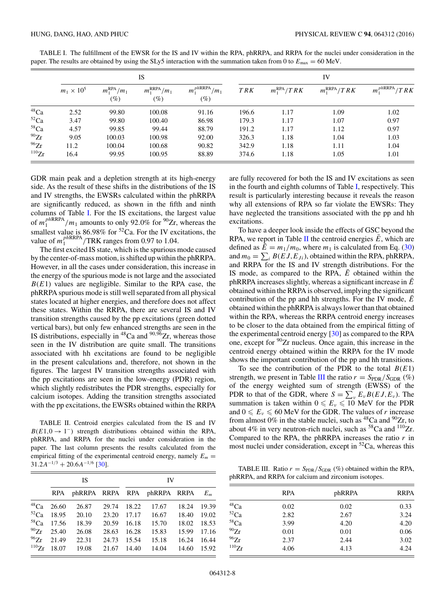|                  | IS                |                                  |                                   |                                             | IV         |                        |                           |                    |
|------------------|-------------------|----------------------------------|-----------------------------------|---------------------------------------------|------------|------------------------|---------------------------|--------------------|
|                  | $m_1 \times 10^5$ | $m_1^{\text{RPA}}/m_1$<br>$(\%)$ | $m_1^{\text{RRPA}}/m_1$<br>$(\%)$ | $m_1^{phRRPA}$<br>/m <sub>1</sub><br>$(\%)$ | <b>TRK</b> | $m_1^{\text{RPA}}/TRK$ | $m_1^{\mathrm{RRPA}}/TRK$ | $m_1^{phRRPA}/TRK$ |
| $48$ Ca          | 2.52              | 99.80                            | 100.08                            | 91.16                                       | 196.6      | 1.17                   | 1.09                      | 1.02               |
| $52$ Ca          | 3.47              | 99.80                            | 100.40                            | 86.98                                       | 179.3      | 1.17                   | 1.07                      | 0.97               |
| 58 <sub>Ca</sub> | 4.57              | 99.85                            | 99.44                             | 88.79                                       | 191.2      | 1.17                   | 1.12                      | 0.97               |
| $^{90}Zr$        | 9.05              | 100.03                           | 100.98                            | 92.00                                       | 326.3      | 1.18                   | 1.04                      | 1.03               |
| 96Zr             | 11.2              | 100.04                           | 100.68                            | 90.82                                       | 342.9      | 1.18                   | 1.11                      | 1.04               |
| 110Zr            | 16.4              | 99.95                            | 100.95                            | 88.89                                       | 374.6      | 1.18                   | 1.05                      | 1.01               |

TABLE I. The fulfillment of the EWSR for the IS and IV within the RPA, phRRPA, and RRPA for the nuclei under consideration in the paper. The results are obtained by using the SLy5 interaction with the summation taken from 0 to  $E_{\text{max}} = 60 \text{ MeV}$ .

GDR main peak and a depletion strength at its high-energy side. As the result of these shifts in the distributions of the IS and IV strengths, the EWSRs calculated within the phRRPA are significantly reduced, as shown in the fifth and ninth columns of Table I. For the IS excitations, the largest value of  $m_1^{phRRPA}/m_1$  amounts to only 92.0% for <sup>90</sup>Zr, whereas the smallest value is 86.98% for <sup>52</sup>Ca. For the IV excitations, the value of  $m_1^{phRPA}$  /TRK ranges from 0.97 to 1.04.

The first excited IS state, which is the spurious mode caused by the center-of-mass motion, is shifted up within the phRRPA. However, in all the cases under consideration, this increase in the energy of the spurious mode is not large and the associated  $B(E1)$  values are negligible. Similar to the RPA case, the phRRPA spurious mode is still well separated from all physical states located at higher energies, and therefore does not affect these states. Within the RRPA, there are several IS and IV transition strengths caused by the pp excitations (green dotted vertical bars), but only few enhanced strengths are seen in the IS distributions, especially in <sup>48</sup>Ca and <sup>90,96</sup>Zr, whereas those seen in the IV distribution are quite small. The transitions associated with hh excitations are found to be negligible in the present calculations and, therefore, not shown in the figures. The largest IV transition strengths associated with the pp excitations are seen in the low-energy (PDR) region, which slightly redistributes the PDR strengths, especially for calcium isotopes. Adding the transition strengths associated with the pp excitations, the EWSRs obtained within the RRPA

TABLE II. Centroid energies calculated from the IS and IV *B*(*E*1,0 → 1<sup>−</sup>) strength distributions obtained within the RPA, phRRPA, and RRPA for the nuclei under consideration in the paper. The last column presents the results calculated from the empirical fitting of the experimental centroid energy, namely  $E_m =$  $31.2A^{-1/3} + 20.6A^{-1/6}$  [\[30\]](#page-9-0).

|             | <b>IS</b>       |       |       | IV    |                                   |       |       |
|-------------|-----------------|-------|-------|-------|-----------------------------------|-------|-------|
|             | RPA.            |       |       |       | phRRPA RRPA RPA phRRPA RRPA $E_m$ |       |       |
| $^{48}Ca$   | 26.60           | 26.87 | 29.74 | 18.22 | 17.67                             | 18.24 | 19.39 |
| ${}^{52}Ca$ | 18.95           | 20.10 | 23.20 | 17.17 | 16.67                             | 18.40 | 19.02 |
| $58$ Ca     | 17.56           | 18.39 | 20.59 | 16.18 | 15.70                             | 18.02 | 18.53 |
|             | $^{90}Zr$ 25.40 | 26.08 | 28.63 | 16.28 | 15.83                             | 15.99 | 17.16 |
| $^{96}Zr$   | 21.49           | 22.31 | 24.73 | 15.54 | 15.18                             | 16.24 | 16.44 |
| 110Zr       | 18.07           | 19.08 | 21.67 | 14.40 | 14.04                             | 14.60 | 15.92 |

are fully recovered for both the IS and IV excitations as seen in the fourth and eighth columns of Table I, respectively. This result is particularly interesting because it reveals the reason why all extensions of RPA so far violate the EWSRs: They have neglected the transitions associated with the pp and hh excitations.

To have a deeper look inside the effects of GSC beyond the RPA, we report in Table  $\Pi$  the centroid energies  $E$ , which are defined as  $\bar{E} = m_1/m_0$ , where  $m_1$  is calculated from Eq. [\(30\)](#page-4-0) and  $m_0 = \sum_i B(EJ, E_{J_i})$ , obtained within the RPA, phRRPA, and RRPA for the IS and IV strength distributions. For the IS mode, as compared to the RPA,  $\bar{E}$  obtained within the phRRPA increases slightly, whereas a significant increase in  $\bar{E}$ obtained within the RRPA is observed, implying the significant contribution of the pp and hh strengths. For the IV mode,  $\overline{E}$ obtained within the phRRPA is always lower than that obtained within the RPA, whereas the RRPA centroid energy increases to be closer to the data obtained from the empirical fitting of the experimental centroid energy [\[30\]](#page-9-0) as compared to the RPA one, except for 90Zr nucleus. Once again, this increase in the centroid energy obtained within the RRPA for the IV mode shows the important contribution of the pp and hh transitions.

To see the contribution of the PDR to the total  $B(E1)$ strength, we present in Table III the ratio  $r = S_{PDR}/S_{GDR}$  (%) of the energy weighted sum of strength (EWSS) of the PDR to that of the GDR, where  $S = \sum_{v} E_v B(EJ, E_v)$ . The summation is taken within  $0 \le E_\nu \le 10$  MeV for the PDR and  $0 \le E_v \le 60$  MeV for the GDR. The values of *r* increase from almost 0% in the stable nuclei, such as  ${}^{48}Ca$  and  ${}^{90}Zr$ , to about 4% in very neutron-rich nuclei, such as  ${}^{58}Ca$  and  ${}^{110}Zr$ . Compared to the RPA, the phRRPA increases the ratio *r* in most nuclei under consideration, except in  ${}^{52}Ca$ , whereas this

TABLE III. Ratio  $r = S_{PDR}/S_{GDR}$  (%) obtained within the RPA, phRRPA, and RRPA for calcium and zirconium isotopes.

|             | <b>RPA</b> | phRRPA | <b>RRPA</b> |
|-------------|------------|--------|-------------|
| $48$ Ca     | 0.02       | 0.02   | 0.33        |
| ${}^{52}Ca$ | 2.82       | 2.67   | 3.24        |
| $58$ Ca     | 3.99       | 4.20   | 4.20        |
| $^{90}Zr$   | 0.01       | 0.01   | 0.06        |
| 96Zr        | 2.37       | 2.44   | 3.02        |
| 110Zr       | 4.06       | 4.13   | 4.24        |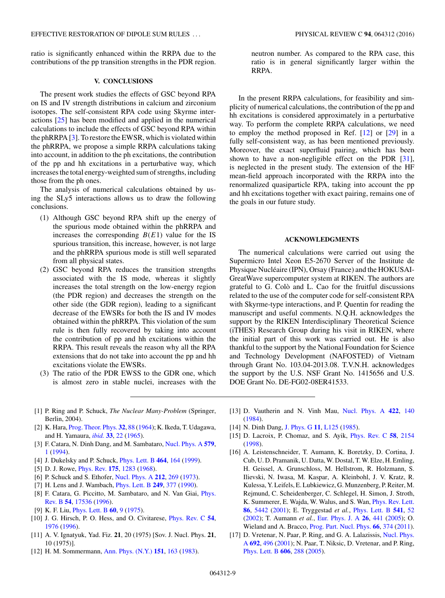<span id="page-8-0"></span>ratio is significantly enhanced within the RRPA due to the contributions of the pp transition strengths in the PDR region.

#### **V. CONCLUSIONS**

The present work studies the effects of GSC beyond RPA on IS and IV strength distributions in calcium and zirconium isotopes. The self-consistent RPA code using Skyrme interactions [\[25\]](#page-9-0) has been modified and applied in the numerical calculations to include the effects of GSC beyond RPA within the phRRPA [3]. To restore the EWSR, which is violated within the phRRPA, we propose a simple RRPA calculations taking into account, in addition to the ph excitations, the contribution of the pp and hh excitations in a perturbative way, which increases the total energy-weighted sum of strengths, including those from the ph ones.

The analysis of numerical calculations obtained by using the SLy5 interactions allows us to draw the following conclusions.

- (1) Although GSC beyond RPA shift up the energy of the spurious mode obtained within the phRRPA and increases the corresponding  $B(E1)$  value for the IS spurious transition, this increase, however, is not large and the phRRPA spurious mode is still well separated from all physical states.
- (2) GSC beyond RPA reduces the transition strengths associated with the IS mode, whereas it slightly increases the total strength on the low-energy region (the PDR region) and decreases the strength on the other side (the GDR region), leading to a significant decrease of the EWSRs for both the IS and IV modes obtained within the phRRPA. This violation of the sum rule is then fully recovered by taking into account the contribution of pp and hh excitations within the RRPA. This result reveals the reason why all the RPA extensions that do not take into account the pp and hh excitations violate the EWSRs.
- (3) The ratio of the PDR EWSS to the GDR one, which is almost zero in stable nuclei, increases with the
- [1] P. Ring and P. Schuck, *The Nuclear Many-Problem* (Springer, Berlin, 2004).
- [2] K. Hara, [Prog. Theor. Phys.](https://doi.org/10.1143/PTP.32.88) **[32](https://doi.org/10.1143/PTP.32.88)**, [88](https://doi.org/10.1143/PTP.32.88) [\(1964\)](https://doi.org/10.1143/PTP.32.88); K. Ikeda, T. Udagawa, and H. Yamaura, *[ibid.](https://doi.org/10.1143/PTP.33.22)* **[33](https://doi.org/10.1143/PTP.33.22)**, [22](https://doi.org/10.1143/PTP.33.22) [\(1965\)](https://doi.org/10.1143/PTP.33.22).
- [3] F. Catara, N. Dinh Dang, and M. Sambataro, [Nucl. Phys. A](https://doi.org/10.1016/0375-9474(94)90790-0) **[579](https://doi.org/10.1016/0375-9474(94)90790-0)**, [1](https://doi.org/10.1016/0375-9474(94)90790-0) [\(1994\)](https://doi.org/10.1016/0375-9474(94)90790-0).
- [4] J. Dukelsky and P. Schuck, [Phys. Lett. B](https://doi.org/10.1016/S0370-2693(99)00921-1) **[464](https://doi.org/10.1016/S0370-2693(99)00921-1)**, [164](https://doi.org/10.1016/S0370-2693(99)00921-1) [\(1999\)](https://doi.org/10.1016/S0370-2693(99)00921-1).
- [5] D. J. Rowe, [Phys. Rev.](https://doi.org/10.1103/PhysRev.175.1283) **[175](https://doi.org/10.1103/PhysRev.175.1283)**, [1283](https://doi.org/10.1103/PhysRev.175.1283) [\(1968\)](https://doi.org/10.1103/PhysRev.175.1283).
- [6] P. Schuck and S. Ethofer, [Nucl. Phys. A](https://doi.org/10.1016/0375-9474(73)90563-0) **[212](https://doi.org/10.1016/0375-9474(73)90563-0)**, [269](https://doi.org/10.1016/0375-9474(73)90563-0) [\(1973\)](https://doi.org/10.1016/0375-9474(73)90563-0).
- [7] H. Lens and J. Wambach, [Phys. Lett. B](https://doi.org/10.1016/0370-2693(90)91001-R) **[249](https://doi.org/10.1016/0370-2693(90)91001-R)**, [377](https://doi.org/10.1016/0370-2693(90)91001-R) [\(1990\)](https://doi.org/10.1016/0370-2693(90)91001-R).
- [8] [F. Catara, G. Piccitto, M. Sambataro, and N. Van Giai,](https://doi.org/10.1103/PhysRevB.54.17536) Phys. Rev. B **[54](https://doi.org/10.1103/PhysRevB.54.17536)**, [17536](https://doi.org/10.1103/PhysRevB.54.17536) [\(1996\)](https://doi.org/10.1103/PhysRevB.54.17536).
- [9] K. F. Liu, [Phys. Lett. B](https://doi.org/10.1016/0370-2693(75)90514-6) **[60](https://doi.org/10.1016/0370-2693(75)90514-6)**, [9](https://doi.org/10.1016/0370-2693(75)90514-6) [\(1975\)](https://doi.org/10.1016/0370-2693(75)90514-6).
- [10] J. G. Hirsch, P. O. Hess, and O. Civitarese, [Phys. Rev. C](https://doi.org/10.1103/PhysRevC.54.1976) **[54](https://doi.org/10.1103/PhysRevC.54.1976)**, [1976](https://doi.org/10.1103/PhysRevC.54.1976) [\(1996\)](https://doi.org/10.1103/PhysRevC.54.1976).
- [11] A. V. Ignatyuk, Yad. Fiz. **21**, 20 (1975) [Sov. J. Nucl. Phys. **21**, 10 (1975)].
- [12] H. M. Sommermann, [Ann. Phys. \(N.Y.\)](https://doi.org/10.1016/0003-4916(83)90318-4) **[151](https://doi.org/10.1016/0003-4916(83)90318-4)**, [163](https://doi.org/10.1016/0003-4916(83)90318-4) [\(1983\)](https://doi.org/10.1016/0003-4916(83)90318-4).

neutron number. As compared to the RPA case, this ratio is in general significantly larger within the RRPA.

In the present RRPA calculations, for feasibility and simplicity of numerical calculations, the contribution of the pp and hh excitations is considered approximately in a perturbative way. To perform the complete RRPA calculations, we need to employ the method proposed in Ref. [12] or [\[29\]](#page-9-0) in a fully self-consistent way, as has been mentioned previously. Moreover, the exact superfluid pairing, which has been shown to have a non-negligible effect on the PDR  $[31]$ , is neglected in the present study. The extension of the HF mean-field approach incorporated with the RRPA into the renormalized quasiparticle RPA, taking into account the pp and hh excitations together with exact pairing, remains one of the goals in our future study.

#### **ACKNOWLEDGMENTS**

The numerical calculations were carried out using the Supermicro Intel Xeon E5-2670 Server of the Institute de Physique Nucléaire (IPN), Orsay (France) and the HOKUSAI-GreatWave supercomputer system at RIKEN. The authors are grateful to G. Colò and L. Cao for the fruitful discussions related to the use of the computer code for self-consistent RPA with Skyrme-type interactions, and P. Quentin for reading the manuscript and useful comments. N.Q.H. acknowledges the support by the RIKEN Interdisciplinary Theoretical Science (iTHES) Research Group during his visit in RIKEN, where the initial part of this work was carried out. He is also thankful to the support by the National Foundation for Science and Technology Development (NAFOSTED) of Vietnam through Grant No. 103.04-2013.08. T.V.N.H. acknowledges the support by the U.S. NSF Grant No. 1415656 and U.S. DOE Grant No. DE-FG02-08ER41533.

- [13] D. Vautherin and N. Vinh Mau, [Nucl. Phys. A](https://doi.org/10.1016/0375-9474(84)90434-2) **[422](https://doi.org/10.1016/0375-9474(84)90434-2)**, [140](https://doi.org/10.1016/0375-9474(84)90434-2) [\(1984\)](https://doi.org/10.1016/0375-9474(84)90434-2).
- [14] N. Dinh Dang, [J. Phys. G](https://doi.org/10.1088/0305-4616/11/8/002) **[11](https://doi.org/10.1088/0305-4616/11/8/002)**, [L125](https://doi.org/10.1088/0305-4616/11/8/002) [\(1985\)](https://doi.org/10.1088/0305-4616/11/8/002).
- [15] D. Lacroix, P. Chomaz, and S. Ayik, [Phys. Rev. C](https://doi.org/10.1103/PhysRevC.58.2154) **[58](https://doi.org/10.1103/PhysRevC.58.2154)**, [2154](https://doi.org/10.1103/PhysRevC.58.2154) [\(1998\)](https://doi.org/10.1103/PhysRevC.58.2154).
- [16] A. Leistenschneider, T. Aumann, K. Boretzky, D. Cortina, J. Cub, U. D. Pramanik, U. Datta, W. Dostal, T. W. Elze, H. Emling, H. Geissel, A. Grunschloss, M. Hellstrom, R. Holzmann, S. Ilievski, N. Iwasa, M. Kaspar, A. Kleinbohl, J. V. Kratz, R. Kulessa, Y. Leifels, E. Lubkiewicz, G. Munzenberg, P. Reiter, M. Rejmund, C. Scheidenberger, C. Schlegel, H. Simon, J. Stroth, K. Summerer, E. Wajda, W. Walus, and S. Wan, [Phys. Rev. Lett.](https://doi.org/10.1103/PhysRevLett.86.5442) **[86](https://doi.org/10.1103/PhysRevLett.86.5442)**, [5442](https://doi.org/10.1103/PhysRevLett.86.5442) [\(2001\)](https://doi.org/10.1103/PhysRevLett.86.5442); E. Tryggestad *et al.*, [Phys. Lett. B](https://doi.org/10.1016/S0370-2693(02)02224-4) **[541](https://doi.org/10.1016/S0370-2693(02)02224-4)**, [52](https://doi.org/10.1016/S0370-2693(02)02224-4) [\(2002\)](https://doi.org/10.1016/S0370-2693(02)02224-4); T. Aumann *et al.*, [Eur. Phys. J. A](https://doi.org/10.1140/epja/i2005-10173-4) **[26](https://doi.org/10.1140/epja/i2005-10173-4)**, [441](https://doi.org/10.1140/epja/i2005-10173-4) [\(2005\)](https://doi.org/10.1140/epja/i2005-10173-4); O. Wieland and A. Bracco, [Prog. Part. Nucl. Phys.](https://doi.org/10.1016/j.ppnp.2011.01.037) **[66](https://doi.org/10.1016/j.ppnp.2011.01.037)**, [374](https://doi.org/10.1016/j.ppnp.2011.01.037) [\(2011\)](https://doi.org/10.1016/j.ppnp.2011.01.037).
- [17] D. Vretenar, N. Paar, P. Ring, and G. A. Lalazissis, Nucl. Phys. A **[692](https://doi.org/10.1016/S0375-9474(01)00653-4)**, [496](https://doi.org/10.1016/S0375-9474(01)00653-4) [\(2001\); N. Paar, T. Niksic, D. Vretenar, and P. Ring,](https://doi.org/10.1016/S0375-9474(01)00653-4) [Phys. Lett. B](https://doi.org/10.1016/j.physletb.2004.12.011) **[606](https://doi.org/10.1016/j.physletb.2004.12.011)**, [288](https://doi.org/10.1016/j.physletb.2004.12.011) [\(2005\)](https://doi.org/10.1016/j.physletb.2004.12.011).